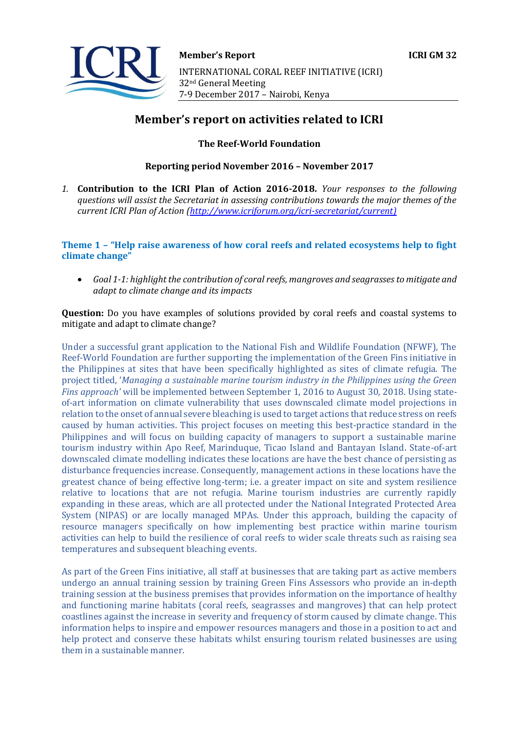

# **Member's report on activities related to ICRI**

**The Reef-World Foundation**

**Reporting period November 2016 – November 2017**

*1.* **Contribution to the ICRI Plan of Action 2016-2018.** *Your responses to the following questions will assist the Secretariat in assessing contributions towards the major themes of the current ICRI Plan of Action [\(http://www.icriforum.org/icri-secretariat/current\)](http://www.icriforum.org/icri-secretariat/current))*

**Theme 1 – "Help raise awareness of how coral reefs and related ecosystems help to fight climate change"** 

• *Goal 1-1: highlight the contribution of coral reefs, mangroves and seagrasses to mitigate and adapt to climate change and its impacts* 

**Question:** Do you have examples of solutions provided by coral reefs and coastal systems to mitigate and adapt to climate change?

Under a successful grant application to the National Fish and Wildlife Foundation (NFWF), The Reef-World Foundation are further supporting the implementation of the Green Fins initiative in the Philippines at sites that have been specifically highlighted as sites of climate refugia. The project titled, '*Managing a sustainable marine tourism industry in the Philippines using the Green Fins approach'* will be implemented between September 1, 2016 to August 30, 2018. Using stateof-art information on climate vulnerability that uses downscaled climate model projections in relation to the onset of annual severe bleaching is used to target actions that reduce stress on reefs caused by human activities. This project focuses on meeting this best-practice standard in the Philippines and will focus on building capacity of managers to support a sustainable marine tourism industry within Apo Reef, Marinduque, Ticao Island and Bantayan Island. State-of-art downscaled climate modelling indicates these locations are have the best chance of persisting as disturbance frequencies increase. Consequently, management actions in these locations have the greatest chance of being effective long-term; i.e. a greater impact on site and system resilience relative to locations that are not refugia. Marine tourism industries are currently rapidly expanding in these areas, which are all protected under the National Integrated Protected Area System (NIPAS) or are locally managed MPAs. Under this approach, building the capacity of resource managers specifically on how implementing best practice within marine tourism activities can help to build the resilience of coral reefs to wider scale threats such as raising sea temperatures and subsequent bleaching events.

As part of the Green Fins initiative, all staff at businesses that are taking part as active members undergo an annual training session by training Green Fins Assessors who provide an in-depth training session at the business premises that provides information on the importance of healthy and functioning marine habitats (coral reefs, seagrasses and mangroves) that can help protect coastlines against the increase in severity and frequency of storm caused by climate change. This information helps to inspire and empower resources managers and those in a position to act and help protect and conserve these habitats whilst ensuring tourism related businesses are using them in a sustainable manner.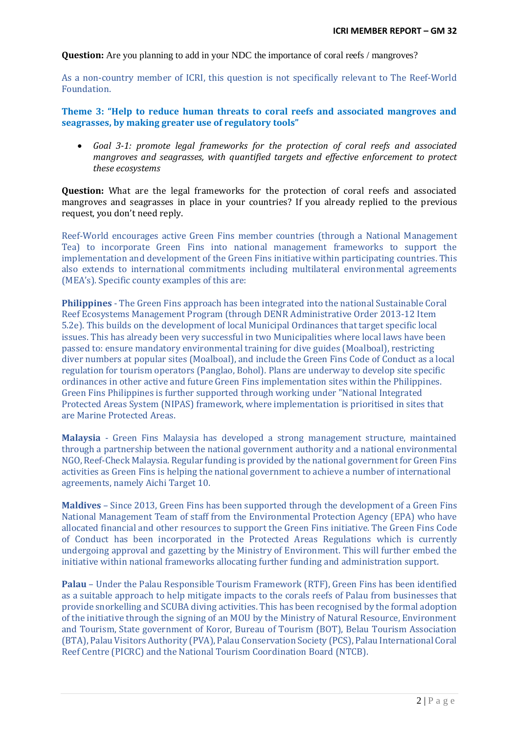**Question:** Are you planning to add in your NDC the importance of coral reefs / mangroves?

As a non-country member of ICRI, this question is not specifically relevant to The Reef-World Foundation.

## **Theme 3: "Help to reduce human threats to coral reefs and associated mangroves and seagrasses, by making greater use of regulatory tools"**

• *Goal 3-1: promote legal frameworks for the protection of coral reefs and associated mangroves and seagrasses, with quantified targets and effective enforcement to protect these ecosystems* 

**Question:** What are the legal frameworks for the protection of coral reefs and associated mangroves and seagrasses in place in your countries? If you already replied to the previous request, you don't need reply.

Reef-World encourages active Green Fins member countries (through a National Management Tea) to incorporate Green Fins into national management frameworks to support the implementation and development of the Green Fins initiative within participating countries. This also extends to international commitments including multilateral environmental agreements (MEA's). Specific county examples of this are:

**Philippines** - The Green Fins approach has been integrated into the national Sustainable Coral Reef Ecosystems Management Program (through DENR Administrative Order 2013-12 Item 5.2e). This builds on the development of local Municipal Ordinances that target specific local issues. This has already been very successful in two Municipalities where local laws have been passed to: ensure mandatory environmental training for dive guides (Moalboal), restricting diver numbers at popular sites (Moalboal), and include the Green Fins Code of Conduct as a local regulation for tourism operators (Panglao, Bohol). Plans are underway to develop site specific ordinances in other active and future Green Fins implementation sites within the Philippines. Green Fins Philippines is further supported through working under "National Integrated Protected Areas System (NIPAS) framework, where implementation is prioritised in sites that are Marine Protected Areas.

**Malaysia** - Green Fins Malaysia has developed a strong management structure, maintained through a partnership between the national government authority and a national environmental NGO, Reef-Check Malaysia. Regular funding is provided by the national government for Green Fins activities as Green Fins is helping the national government to achieve a number of international agreements, namely Aichi Target 10.

**Maldives** – Since 2013, Green Fins has been supported through the development of a Green Fins National Management Team of staff from the Environmental Protection Agency (EPA) who have allocated financial and other resources to support the Green Fins initiative. The Green Fins Code of Conduct has been incorporated in the Protected Areas Regulations which is currently undergoing approval and gazetting by the Ministry of Environment. This will further embed the initiative within national frameworks allocating further funding and administration support.

**Palau** – Under the Palau Responsible Tourism Framework (RTF), Green Fins has been identified as a suitable approach to help mitigate impacts to the corals reefs of Palau from businesses that provide snorkelling and SCUBA diving activities. This has been recognised by the formal adoption of the initiative through the signing of an MOU by the Ministry of Natural Resource, Environment and Tourism, State government of Koror, Bureau of Tourism (BOT), Belau Tourism Association (BTA), Palau Visitors Authority (PVA), Palau Conservation Society (PCS), Palau International Coral Reef Centre (PICRC) and the National Tourism Coordination Board (NTCB).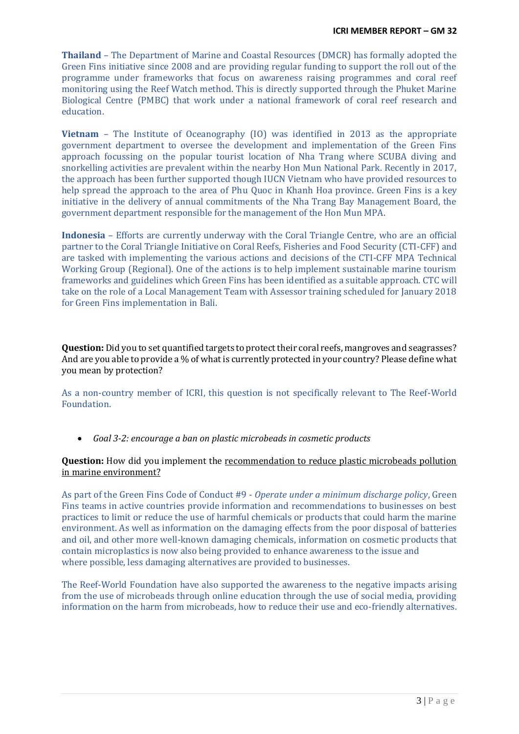**Thailand** – The Department of Marine and Coastal Resources (DMCR) has formally adopted the Green Fins initiative since 2008 and are providing regular funding to support the roll out of the programme under frameworks that focus on awareness raising programmes and coral reef monitoring using the Reef Watch method. This is directly supported through the Phuket Marine Biological Centre (PMBC) that work under a national framework of coral reef research and education.

**Vietnam** – The Institute of Oceanography (IO) was identified in 2013 as the appropriate government department to oversee the development and implementation of the Green Fins approach focussing on the popular tourist location of Nha Trang where SCUBA diving and snorkelling activities are prevalent within the nearby Hon Mun National Park. Recently in 2017, the approach has been further supported though IUCN Vietnam who have provided resources to help spread the approach to the area of Phu Quoc in Khanh Hoa province. Green Fins is a key initiative in the delivery of annual commitments of the Nha Trang Bay Management Board, the government department responsible for the management of the Hon Mun MPA.

**Indonesia** – Efforts are currently underway with the Coral Triangle Centre, who are an official partner to the Coral Triangle Initiative on Coral Reefs, Fisheries and Food Security (CTI-CFF) and are tasked with implementing the various actions and decisions of the CTI-CFF MPA Technical Working Group (Regional). One of the actions is to help implement sustainable marine tourism frameworks and guidelines which Green Fins has been identified as a suitable approach. CTC will take on the role of a Local Management Team with Assessor training scheduled for January 2018 for Green Fins implementation in Bali.

**Question:** Did you to set quantified targets to protect their coral reefs, mangroves and seagrasses? And are you able to provide a % of what is currently protected in your country? Please define what you mean by protection?

As a non-country member of ICRI, this question is not specifically relevant to The Reef-World Foundation.

• *Goal 3-2: encourage a ban on plastic microbeads in cosmetic products* 

## **Question:** How did you implement the recommendation to reduce plastic microbeads pollution in marine environment?

As part of the Green Fins Code of Conduct #9 - *Operate under a minimum discharge policy*, Green Fins teams in active countries provide information and recommendations to businesses on best practices to limit or reduce the use of harmful chemicals or products that could harm the marine environment. As well as information on the damaging effects from the poor disposal of batteries and oil, and other more well-known damaging chemicals, information on cosmetic products that contain microplastics is now also being provided to enhance awareness to the issue and where possible, less damaging alternatives are provided to businesses.

The Reef-World Foundation have also supported the awareness to the negative impacts arising from the use of microbeads through online education through the use of social media, providing information on the harm from microbeads, how to reduce their use and eco-friendly alternatives.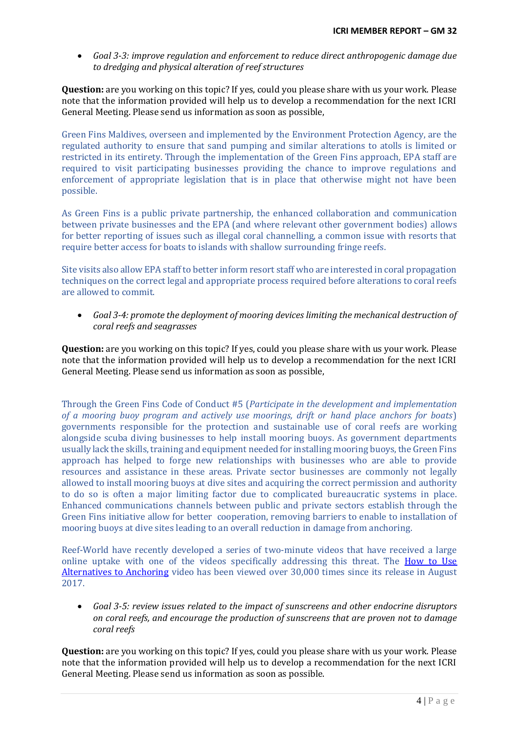• *Goal 3-3: improve regulation and enforcement to reduce direct anthropogenic damage due to dredging and physical alteration of reef structures* 

**Question:** are you working on this topic? If yes, could you please share with us your work. Please note that the information provided will help us to develop a recommendation for the next ICRI General Meeting. Please send us information as soon as possible,

Green Fins Maldives, overseen and implemented by the Environment Protection Agency, are the regulated authority to ensure that sand pumping and similar alterations to atolls is limited or restricted in its entirety. Through the implementation of the Green Fins approach, EPA staff are required to visit participating businesses providing the chance to improve regulations and enforcement of appropriate legislation that is in place that otherwise might not have been possible.

As Green Fins is a public private partnership, the enhanced collaboration and communication between private businesses and the EPA (and where relevant other government bodies) allows for better reporting of issues such as illegal coral channelling, a common issue with resorts that require better access for boats to islands with shallow surrounding fringe reefs.

Site visits also allow EPA staff to better inform resort staff who are interested in coral propagation techniques on the correct legal and appropriate process required before alterations to coral reefs are allowed to commit.

• *Goal 3-4: promote the deployment of mooring devices limiting the mechanical destruction of coral reefs and seagrasses* 

**Question:** are you working on this topic? If yes, could you please share with us your work. Please note that the information provided will help us to develop a recommendation for the next ICRI General Meeting. Please send us information as soon as possible,

Through the Green Fins Code of Conduct #5 (*Participate in the development and implementation of a mooring buoy program and actively use moorings, drift or hand place anchors for boats*) governments responsible for the protection and sustainable use of coral reefs are working alongside scuba diving businesses to help install mooring buoys. As government departments usually lack the skills, training and equipment needed for installing mooring buoys, the Green Fins approach has helped to forge new relationships with businesses who are able to provide resources and assistance in these areas. Private sector businesses are commonly not legally allowed to install mooring buoys at dive sites and acquiring the correct permission and authority to do so is often a major limiting factor due to complicated bureaucratic systems in place. Enhanced communications channels between public and private sectors establish through the Green Fins initiative allow for better cooperation, removing barriers to enable to installation of mooring buoys at dive sites leading to an overall reduction in damage from anchoring.

Reef-World have recently developed a series of two-minute videos that have received a large online uptake with one of the videos specifically addressing this threat. The [How to Use](https://www.youtube.com/watch?v=tLL0etNH9qk)  [Alternatives to Anchoring](https://www.youtube.com/watch?v=tLL0etNH9qk) video has been viewed over 30,000 times since its release in August 2017.

• *Goal 3-5: review issues related to the impact of sunscreens and other endocrine disruptors on coral reefs, and encourage the production of sunscreens that are proven not to damage coral reefs* 

**Question:** are you working on this topic? If yes, could you please share with us your work. Please note that the information provided will help us to develop a recommendation for the next ICRI General Meeting. Please send us information as soon as possible.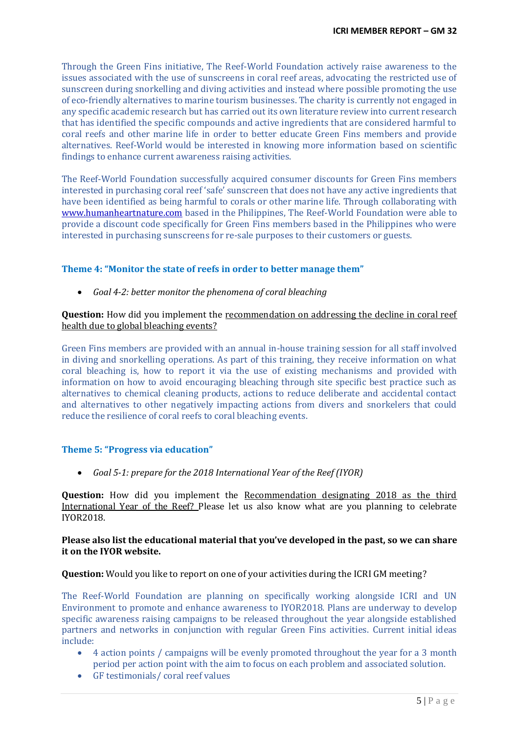Through the Green Fins initiative, The Reef-World Foundation actively raise awareness to the issues associated with the use of sunscreens in coral reef areas, advocating the restricted use of sunscreen during snorkelling and diving activities and instead where possible promoting the use of eco-friendly alternatives to marine tourism businesses. The charity is currently not engaged in any specific academic research but has carried out its own literature review into current research that has identified the specific compounds and active ingredients that are considered harmful to coral reefs and other marine life in order to better educate Green Fins members and provide alternatives. Reef-World would be interested in knowing more information based on scientific findings to enhance current awareness raising activities.

The Reef-World Foundation successfully acquired consumer discounts for Green Fins members interested in purchasing coral reef 'safe' sunscreen that does not have any active ingredients that have been identified as being harmful to corals or other marine life. Through collaborating with [www.humanheartnature.com](http://www.humanheartnature.com/) based in the Philippines, The Reef-World Foundation were able to provide a discount code specifically for Green Fins members based in the Philippines who were interested in purchasing sunscreens for re-sale purposes to their customers or guests.

## **Theme 4: "Monitor the state of reefs in order to better manage them"**

• *Goal 4-2: better monitor the phenomena of coral bleaching* 

## **Question:** How did you implement the recommendation on addressing the decline in coral reef health due to global bleaching events?

Green Fins members are provided with an annual in-house training session for all staff involved in diving and snorkelling operations. As part of this training, they receive information on what coral bleaching is, how to report it via the use of existing mechanisms and provided with information on how to avoid encouraging bleaching through site specific best practice such as alternatives to chemical cleaning products, actions to reduce deliberate and accidental contact and alternatives to other negatively impacting actions from divers and snorkelers that could reduce the resilience of coral reefs to coral bleaching events.

## **Theme 5: "Progress via education"**

• *Goal 5-1: prepare for the 2018 International Year of the Reef (IYOR)* 

**Question:** How did you implement the Recommendation designating 2018 as the third International Year of the Reef? Please let us also know what are you planning to celebrate IYOR2018.

## **Please also list the educational material that you've developed in the past, so we can share it on the IYOR website.**

## **Question:** Would you like to report on one of your activities during the ICRI GM meeting?

The Reef-World Foundation are planning on specifically working alongside ICRI and UN Environment to promote and enhance awareness to IYOR2018. Plans are underway to develop specific awareness raising campaigns to be released throughout the year alongside established partners and networks in conjunction with regular Green Fins activities. Current initial ideas include:

- 4 action points / campaigns will be evenly promoted throughout the year for a 3 month period per action point with the aim to focus on each problem and associated solution.
- GF testimonials/ coral reef values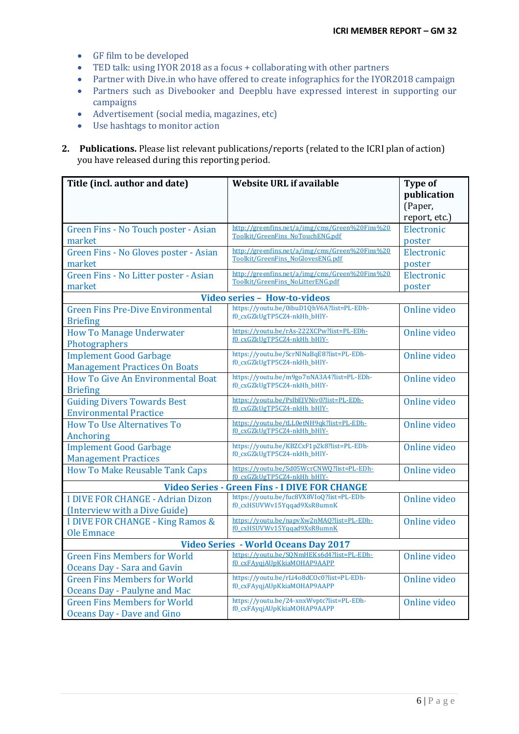- GF film to be developed
- TED talk: using IYOR 2018 as a focus + collaborating with other partners
- Partner with Dive.in who have offered to create infographics for the IYOR2018 campaign
- Partners such as Divebooker and Deepblu have expressed interest in supporting our campaigns
- Advertisement (social media, magazines, etc)
- Use hashtags to monitor action
- **2. Publications.** Please list relevant publications/reports (related to the ICRI plan of action) you have released during this reporting period.

| Title (incl. author and date)                               | <b>Website URL if available</b>                                                     | <b>Type of</b> |
|-------------------------------------------------------------|-------------------------------------------------------------------------------------|----------------|
|                                                             |                                                                                     | publication    |
|                                                             |                                                                                     | (Paper,        |
|                                                             |                                                                                     | report, etc.)  |
| Green Fins - No Touch poster - Asian                        | http://greenfins.net/a/img/cms/Green%20Fins%20                                      | Electronic     |
| market                                                      | Toolkit/GreenFins NoTouchENG.pdf                                                    | poster         |
| Green Fins - No Gloves poster - Asian                       | http://greenfins.net/a/img/cms/Green%20Fins%20<br>Toolkit/GreenFins NoGlovesENG.pdf | Electronic     |
| market                                                      |                                                                                     | poster         |
| Green Fins - No Litter poster - Asian                       | http://greenfins.net/a/img/cms/Green%20Fins%20                                      | Electronic     |
| market                                                      | Toolkit/GreenFins NoLitterENG.pdf                                                   | poster         |
| <b>Video series - How-to-videos</b>                         |                                                                                     |                |
| <b>Green Fins Pre-Dive Environmental</b><br><b>Briefing</b> | https://youtu.be/0ibuD1QhV6A?list=PL-EDh-<br>f0_cxGZkUgTP5CZ4-nkHh_bHlY-            | Online video   |
| <b>How To Manage Underwater</b><br>Photographers            | https://voutu.be/rAs-222XCPw?list=PL-EDh-<br>f0 cxGZkUgTP5CZ4-nkHh bHlY-            | Online video   |
| <b>Implement Good Garbage</b>                               | https://youtu.be/ScrNlNaBqE8?list=PL-EDh-                                           | Online video   |
| <b>Management Practices On Boats</b>                        | f0_cxGZkUgTP5CZ4-nkHh_bHlY-                                                         |                |
| How To Give An Environmental Boat                           | https://youtu.be/m9go7nNA3A4?list=PL-EDh-                                           | Online video   |
| <b>Briefing</b>                                             | f0_cxGZkUgTP5CZ4-nkHh_bHlY-                                                         |                |
| <b>Guiding Divers Towards Best</b>                          | https://youtu.be/PslbEJVNiv0?list=PL-EDh-                                           | Online video   |
| <b>Environmental Practice</b>                               | f0 cxGZkUgTP5CZ4-nkHh bHlY-                                                         |                |
| <b>How To Use Alternatives To</b>                           | https://voutu.be/tLL0etNH9qk?list=PL-EDh-                                           | Online video   |
| Anchoring                                                   | f0 cxGZkUgTP5CZ4-nkHh bHlY-                                                         |                |
| <b>Implement Good Garbage</b>                               | https://youtu.be/KBZCxF1p2k8?list=PL-EDh-                                           | Online video   |
| <b>Management Practices</b>                                 | f0_cxGZkUgTP5CZ4-nkHh_bHlY-                                                         |                |
| <b>How To Make Reusable Tank Caps</b>                       | https://youtu.be/Sd05WcrCNWQ?list=PL-EDh-<br>f0 cxGZkUgTP5CZ4-nkHh bHlY-            | Online video   |
| <b>Video Series - Green Fins - I DIVE FOR CHANGE</b>        |                                                                                     |                |
| <b>I DIVE FOR CHANGE - Adrian Dizon</b>                     | https://youtu.be/fuc8VX8VIoQ?list=PL-EDh-                                           | Online video   |
| (Interview with a Dive Guide)                               | f0_cxHSUVWv15Yqqad9XsR8umnK                                                         |                |
| <b>I DIVE FOR CHANGE - King Ramos &amp;</b>                 | https://voutu.be/napvXw2nMA0?list=PL-EDh-                                           | Online video   |
| Ole Emnace                                                  | f0 cxHSUVWv15Yggad9XsR8umnK                                                         |                |
| <b>Video Series - World Oceans Day 2017</b>                 |                                                                                     |                |
| <b>Green Fins Members for World</b>                         | https://voutu.be/SQNmHEKs6d4?list=PL-EDh-                                           | Online video   |
| Oceans Day - Sara and Gavin                                 | f0 cxFAyqjAUpKkiaMOHAP9AAPP                                                         |                |
| <b>Green Fins Members for World</b>                         | https://youtu.be/rLi4o8dCOc0?list=PL-EDh-                                           | Online video   |
| <b>Oceans Day - Paulyne and Mac</b>                         | f0_cxFAyqjAUpKkiaMOHAP9AAPP                                                         |                |
| <b>Green Fins Members for World</b>                         | https://youtu.be/24-xnxWvptc?list=PL-EDh-                                           | Online video   |
| Oceans Day - Dave and Gino                                  | f0_cxFAyqjAUpKkiaMOHAP9AAPP                                                         |                |